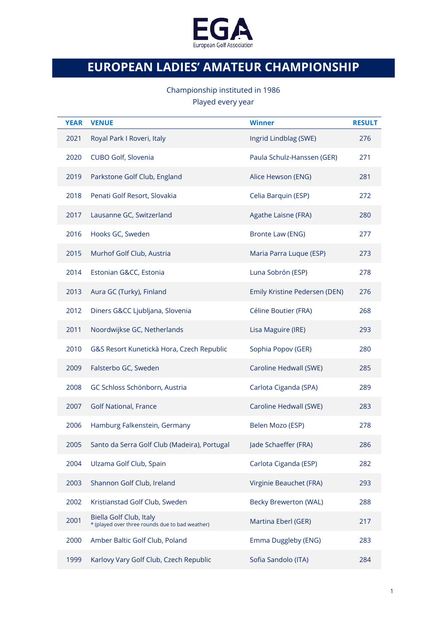

## **EUROPEAN LADIES' AMATEUR CHAMPIONSHIP**

## Championship instituted in 1986 Played every year

| <b>YEAR</b> | <b>VENUE</b>                                                               | <b>Winner</b>                 | <b>RESULT</b> |
|-------------|----------------------------------------------------------------------------|-------------------------------|---------------|
| 2021        | Royal Park I Roveri, Italy                                                 | Ingrid Lindblag (SWE)         | 276           |
| 2020        | CUBO Golf, Slovenia                                                        | Paula Schulz-Hanssen (GER)    | 271           |
| 2019        | Parkstone Golf Club, England                                               | Alice Hewson (ENG)            | 281           |
| 2018        | Penati Golf Resort, Slovakia                                               | Celia Barquin (ESP)           | 272           |
| 2017        | Lausanne GC, Switzerland                                                   | Agathe Laisne (FRA)           | 280           |
| 2016        | Hooks GC, Sweden                                                           | Bronte Law (ENG)              | 277           |
| 2015        | Murhof Golf Club, Austria                                                  | Maria Parra Luque (ESP)       | 273           |
| 2014        | Estonian G&CC, Estonia                                                     | Luna Sobrón (ESP)             | 278           |
| 2013        | Aura GC (Turky), Finland                                                   | Emily Kristine Pedersen (DEN) | 276           |
| 2012        | Diners G&CC Ljubljana, Slovenia                                            | Céline Boutier (FRA)          | 268           |
| 2011        | Noordwijkse GC, Netherlands                                                | Lisa Maguire (IRE)            | 293           |
| 2010        | G&S Resort Kunetickà Hora, Czech Republic                                  | Sophia Popov (GER)            | 280           |
| 2009        | Falsterbo GC, Sweden                                                       | Caroline Hedwall (SWE)        | 285           |
| 2008        | GC Schloss Schönborn, Austria                                              | Carlota Ciganda (SPA)         | 289           |
| 2007        | <b>Golf National, France</b>                                               | Caroline Hedwall (SWE)        | 283           |
| 2006        | Hamburg Falkenstein, Germany                                               | Belen Mozo (ESP)              | 278           |
| 2005        | Santo da Serra Golf Club (Madeira), Portugal                               | Jade Schaeffer (FRA)          | 286           |
| 2004        | Ulzama Golf Club, Spain                                                    | Carlota Ciganda (ESP)         | 282           |
| 2003        | Shannon Golf Club, Ireland                                                 | Virginie Beauchet (FRA)       | 293           |
| 2002        | Kristianstad Golf Club, Sweden                                             | <b>Becky Brewerton (WAL)</b>  | 288           |
| 2001        | Biella Golf Club, Italy<br>* (played over three rounds due to bad weather) | Martina Eberl (GER)           | 217           |
| 2000        | Amber Baltic Golf Club, Poland                                             | Emma Duggleby (ENG)           | 283           |
| 1999        | Karlovy Vary Golf Club, Czech Republic                                     | Sofia Sandolo (ITA)           | 284           |